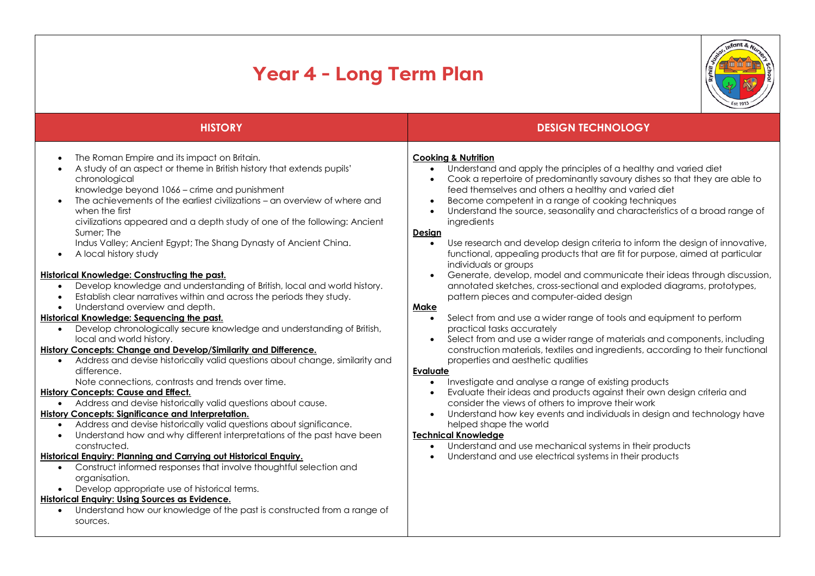## **Year 4 - Long Term Plan**



## **HISTORY DESIGN TECHNOLOGY**

## • The Roman Empire and its impact on Britain. • A study of an aspect or theme in British history that extends pupils' chronological knowledge beyond 1066 – crime and punishment • The achievements of the earliest civilizations – an overview of where and when the first civilizations appeared and a depth study of one of the following: Ancient Sumer; The Indus Valley; Ancient Egypt; The Shang Dynasty of Ancient China. • A local history study **Historical Knowledge: Constructing the past.** • Develop knowledge and understanding of British, local and world history. • Establish clear narratives within and across the periods they study. • Understand overview and depth. **Historical Knowledge: Sequencing the past.** • Develop chronologically secure knowledge and understanding of British, local and world history. **History Concepts: Change and Develop/Similarity and Difference.** • Address and devise historically valid questions about change, similarity and difference. Note connections, contrasts and trends over time. **History Concepts: Cause and Effect.** • Address and devise historically valid questions about cause. **History Concepts: Significance and Interpretation.** • Address and devise historically valid questions about significance. • Understand how and why different interpretations of the past have been constructed. **Historical Enquiry: Planning and Carrying out Historical Enquiry.** • Construct informed responses that involve thoughtful selection and organisation. • Develop appropriate use of historical terms. **Historical Enquiry: Using Sources as Evidence. Cooking & Nutrition** • Understand and apply the principles of a healthy and varied diet • Cook a repertoire of predominantly savoury dishes so that they are able to feed themselves and others a healthy and varied diet • Become competent in a range of cooking techniques • Understand the source, seasonality and characteristics of a broad range of **ingredients Design** • Use research and develop design criteria to inform the design of innovative, functional, appealing products that are fit for purpose, aimed at particular individuals or groups • Generate, develop, model and communicate their ideas through discussion, annotated sketches, cross-sectional and exploded diagrams, prototypes, pattern pieces and computer-aided design **Make** Select from and use a wider range of tools and equipment to perform practical tasks accurately • Select from and use a wider range of materials and components, including construction materials, textiles and ingredients, according to their functional properties and aesthetic qualities **Evaluate** • Investigate and analyse a range of existing products • Evaluate their ideas and products against their own design criteria and consider the views of others to improve their work • Understand how key events and individuals in design and technology have helped shape the world **Technical Knowledge** • Understand and use mechanical systems in their products • Understand and use electrical systems in their products

• Understand how our knowledge of the past is constructed from a range of sources.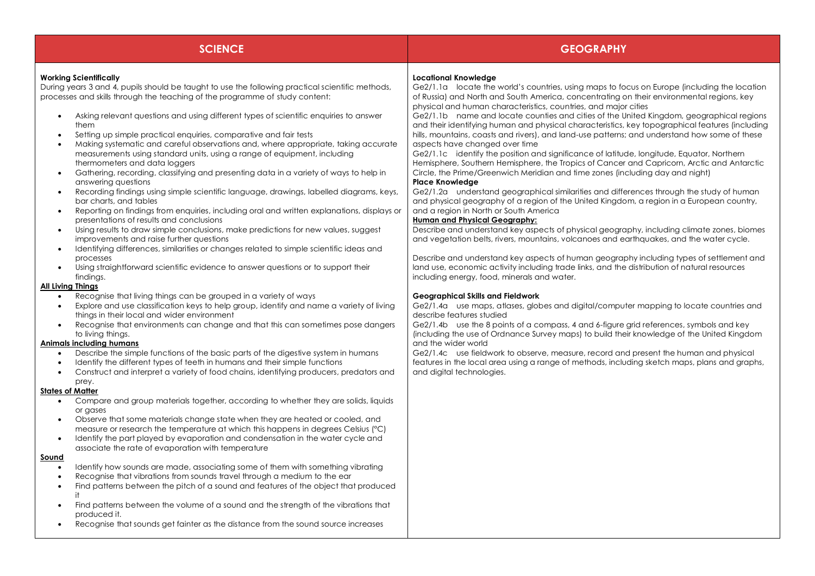| <b>SCIENCE</b>                                                                                                                                                                                                                                                                                                                                                                                                                                                                                                                                                                                                                                                                                                                                                                                                                                                                                                                                                                                                                                                                                                                                                                                                                                                                                                                                                                                                                                                                                                                                                                                                                                        | <b>GEOGRAPHY</b>                                                                                                                                                                                                                                                                                                                                                                                                                                                                                                                                                                                                                                                                                                                                                                                                                                                                                                                                                                                                                                                                                                                                                                                                                                                                                                                                                                                                                                                                                                                                                                                                                                    |
|-------------------------------------------------------------------------------------------------------------------------------------------------------------------------------------------------------------------------------------------------------------------------------------------------------------------------------------------------------------------------------------------------------------------------------------------------------------------------------------------------------------------------------------------------------------------------------------------------------------------------------------------------------------------------------------------------------------------------------------------------------------------------------------------------------------------------------------------------------------------------------------------------------------------------------------------------------------------------------------------------------------------------------------------------------------------------------------------------------------------------------------------------------------------------------------------------------------------------------------------------------------------------------------------------------------------------------------------------------------------------------------------------------------------------------------------------------------------------------------------------------------------------------------------------------------------------------------------------------------------------------------------------------|-----------------------------------------------------------------------------------------------------------------------------------------------------------------------------------------------------------------------------------------------------------------------------------------------------------------------------------------------------------------------------------------------------------------------------------------------------------------------------------------------------------------------------------------------------------------------------------------------------------------------------------------------------------------------------------------------------------------------------------------------------------------------------------------------------------------------------------------------------------------------------------------------------------------------------------------------------------------------------------------------------------------------------------------------------------------------------------------------------------------------------------------------------------------------------------------------------------------------------------------------------------------------------------------------------------------------------------------------------------------------------------------------------------------------------------------------------------------------------------------------------------------------------------------------------------------------------------------------------------------------------------------------------|
| <b>Working Scientifically</b><br>During years 3 and 4, pupils should be taught to use the following practical scientific methods,<br>processes and skills through the teaching of the programme of study content:<br>Asking relevant questions and using different types of scientific enquiries to answer<br>them<br>Setting up simple practical enquiries, comparative and fair tests<br>$\bullet$<br>Making systematic and careful observations and, where appropriate, taking accurate<br>measurements using standard units, using a range of equipment, including<br>thermometers and data loggers<br>Gathering, recording, classifying and presenting data in a variety of ways to help in<br>answering questions<br>Recording findings using simple scientific language, drawings, labelled diagrams, keys,<br>$\bullet$<br>bar charts, and tables<br>Reporting on findings from enquiries, including oral and written explanations, displays or<br>$\bullet$<br>presentations of results and conclusions<br>Using results to draw simple conclusions, make predictions for new values, suggest<br>$\bullet$<br>improvements and raise further questions<br>Identifying differences, similarities or changes related to simple scientific ideas and<br>$\bullet$<br>processes<br>Using straightforward scientific evidence to answer questions or to support their<br>$\bullet$<br>findings.                                                                                                                                                                                                                                                   | <b>Locational Knowledge</b><br>Ge2/1.1a locate the world's countries, using maps to focus on Europe (including the location<br>of Russia) and North and South America, concentrating on their environmental regions, key<br>physical and human characteristics, countries, and major cities<br>Ge2/1.1b name and locate counties and cities of the United Kingdom, geographical regions<br>and their identifying human and physical characteristics, key topographical features (including<br>hills, mountains, coasts and rivers), and land-use patterns; and understand how some of these<br>aspects have changed over time<br>Ge2/1.1c identify the position and significance of latitude, longitude, Equator, Northern<br>Hemisphere, Southern Hemisphere, the Tropics of Cancer and Capricorn, Arctic and Antarctic<br>Circle, the Prime/Greenwich Meridian and time zones (including day and night)<br><b>Place Knowledge</b><br>Ge2/1.2a understand geographical similarities and differences through the study of human<br>and physical geography of a region of the United Kingdom, a region in a European country,<br>and a region in North or South America<br><b>Human and Physical Geography:</b><br>Describe and understand key aspects of physical geography, including climate zones, biomes<br>and vegetation belts, rivers, mountains, volcanoes and earthquakes, and the water cycle.<br>Describe and understand key aspects of human geography including types of settlement and<br>land use, economic activity including trade links, and the distribution of natural resources<br>including energy, food, minerals and water. |
| <b>All Living Things</b><br>Recognise that living things can be grouped in a variety of ways<br>Explore and use classification keys to help group, identify and name a variety of living<br>things in their local and wider environment<br>Recognise that environments can change and that this can sometimes pose dangers<br>$\bullet$<br>to living things.<br><b>Animals including humans</b><br>Describe the simple functions of the basic parts of the digestive system in humans<br>Identify the different types of teeth in humans and their simple functions<br>$\bullet$<br>Construct and interpret a variety of food chains, identifying producers, predators and<br>$\bullet$<br>prey.<br><b>States of Matter</b><br>Compare and group materials together, according to whether they are solids, liquids<br>or gases<br>Observe that some materials change state when they are heated or cooled, and<br>$\bullet$<br>measure or research the temperature at which this happens in degrees Celsius (°C)<br>Identify the part played by evaporation and condensation in the water cycle and<br>$\bullet$<br>associate the rate of evaporation with temperature<br>Sound<br>Identify how sounds are made, associating some of them with something vibrating<br>Recognise that vibrations from sounds travel through a medium to the ear<br>Find patterns between the pitch of a sound and features of the object that produced<br>$\bullet$<br>it.<br>Find patterns between the volume of a sound and the strength of the vibrations that<br>produced it.<br>Recognise that sounds get fainter as the distance from the sound source increases | <b>Geographical Skills and Fieldwork</b><br>Ge2/1.4a use maps, atlases, globes and digital/computer mapping to locate countries and<br>describe features studied<br>Ge2/1.4b use the 8 points of a compass, 4 and 6-figure grid references, symbols and key<br>(including the use of Ordnance Survey maps) to build their knowledge of the United Kingdom<br>and the wider world<br>Ge2/1.4c use fieldwork to observe, measure, record and present the human and physical<br>features in the local area using a range of methods, including sketch maps, plans and graphs,<br>and digital technologies.                                                                                                                                                                                                                                                                                                                                                                                                                                                                                                                                                                                                                                                                                                                                                                                                                                                                                                                                                                                                                                             |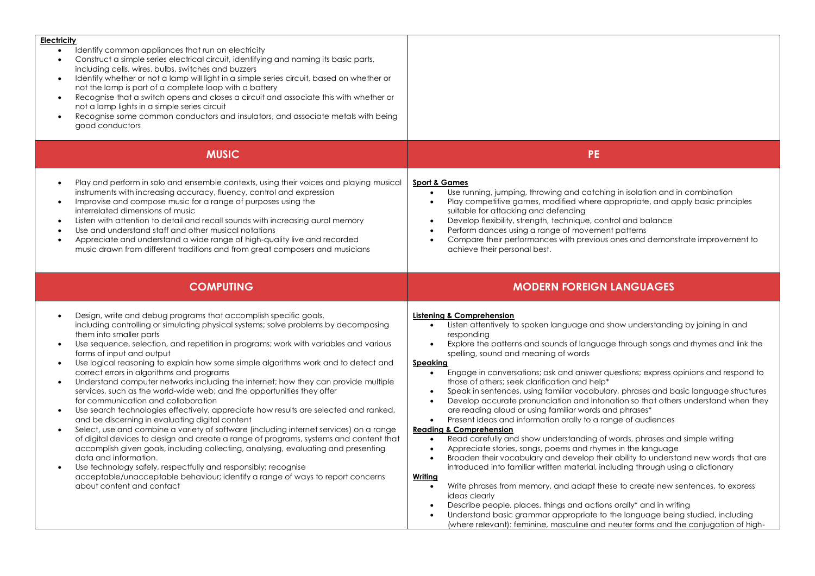| Electricity<br>$\bullet$<br>$\bullet$<br>$\bullet$<br>$\bullet$ | Identify common appliances that run on electricity<br>Construct a simple series electrical circuit, identifying and naming its basic parts,<br>including cells, wires, bulbs, switches and buzzers<br>Identify whether or not a lamp will light in a simple series circuit, based on whether or<br>not the lamp is part of a complete loop with a battery<br>Recognise that a switch opens and closes a circuit and associate this with whether or<br>not a lamp lights in a simple series circuit<br>Recognise some common conductors and insulators, and associate metals with being<br>good conductors                                                                                                                                                                                                                                                                                                                                                                                                                                                                                                                                                                                                                                                                       |                                                                                                                                                                                                                                                                                                                                                                                                                                                                                                                                                                                                                                                                                                                                                                                                                                                                                                                                                                                                                                                                                                                                                                                                                                                                                                                                                                                                                                                                                               |
|-----------------------------------------------------------------|---------------------------------------------------------------------------------------------------------------------------------------------------------------------------------------------------------------------------------------------------------------------------------------------------------------------------------------------------------------------------------------------------------------------------------------------------------------------------------------------------------------------------------------------------------------------------------------------------------------------------------------------------------------------------------------------------------------------------------------------------------------------------------------------------------------------------------------------------------------------------------------------------------------------------------------------------------------------------------------------------------------------------------------------------------------------------------------------------------------------------------------------------------------------------------------------------------------------------------------------------------------------------------|-----------------------------------------------------------------------------------------------------------------------------------------------------------------------------------------------------------------------------------------------------------------------------------------------------------------------------------------------------------------------------------------------------------------------------------------------------------------------------------------------------------------------------------------------------------------------------------------------------------------------------------------------------------------------------------------------------------------------------------------------------------------------------------------------------------------------------------------------------------------------------------------------------------------------------------------------------------------------------------------------------------------------------------------------------------------------------------------------------------------------------------------------------------------------------------------------------------------------------------------------------------------------------------------------------------------------------------------------------------------------------------------------------------------------------------------------------------------------------------------------|
|                                                                 | <b>MUSIC</b>                                                                                                                                                                                                                                                                                                                                                                                                                                                                                                                                                                                                                                                                                                                                                                                                                                                                                                                                                                                                                                                                                                                                                                                                                                                                    | <b>PE</b>                                                                                                                                                                                                                                                                                                                                                                                                                                                                                                                                                                                                                                                                                                                                                                                                                                                                                                                                                                                                                                                                                                                                                                                                                                                                                                                                                                                                                                                                                     |
| $\bullet$                                                       | Play and perform in solo and ensemble contexts, using their voices and playing musical<br>instruments with increasing accuracy, fluency, control and expression<br>Improvise and compose music for a range of purposes using the<br>interrelated dimensions of music<br>Listen with attention to detail and recall sounds with increasing aural memory<br>Use and understand staff and other musical notations<br>Appreciate and understand a wide range of high-quality live and recorded<br>music drawn from different traditions and from great composers and musicians                                                                                                                                                                                                                                                                                                                                                                                                                                                                                                                                                                                                                                                                                                      | <b>Sport &amp; Games</b><br>Use running, jumping, throwing and catching in isolation and in combination<br>Play competitive games, modified where appropriate, and apply basic principles<br>suitable for attacking and defending<br>Develop flexibility, strength, technique, control and balance<br>Perform dances using a range of movement patterns<br>Compare their performances with previous ones and demonstrate improvement to<br>achieve their personal best.                                                                                                                                                                                                                                                                                                                                                                                                                                                                                                                                                                                                                                                                                                                                                                                                                                                                                                                                                                                                                       |
|                                                                 | <b>COMPUTING</b>                                                                                                                                                                                                                                                                                                                                                                                                                                                                                                                                                                                                                                                                                                                                                                                                                                                                                                                                                                                                                                                                                                                                                                                                                                                                | <b>MODERN FOREIGN LANGUAGES</b>                                                                                                                                                                                                                                                                                                                                                                                                                                                                                                                                                                                                                                                                                                                                                                                                                                                                                                                                                                                                                                                                                                                                                                                                                                                                                                                                                                                                                                                               |
| $\bullet$<br>$\bullet$                                          | Design, write and debug programs that accomplish specific goals,<br>including controlling or simulating physical systems; solve problems by decomposing<br>them into smaller parts<br>Use sequence, selection, and repetition in programs; work with variables and various<br>forms of input and output<br>Use logical reasoning to explain how some simple algorithms work and to detect and<br>correct errors in algorithms and programs<br>Understand computer networks including the internet; how they can provide multiple<br>services, such as the world-wide web; and the opportunities they offer<br>for communication and collaboration<br>Use search technologies effectively, appreciate how results are selected and ranked,<br>and be discerning in evaluating digital content<br>Select, use and combine a variety of software (including internet services) on a range<br>of digital devices to design and create a range of programs, systems and content that<br>accomplish given goals, including collecting, analysing, evaluating and presenting<br>data and information.<br>Use technology safely, respectfully and responsibly; recognise<br>acceptable/unacceptable behaviour; identify a range of ways to report concerns<br>about content and contact | Listening & Comprehension<br>Listen attentively to spoken language and show understanding by joining in and<br>responding<br>Explore the patterns and sounds of language through songs and rhymes and link the<br>spelling, sound and meaning of words<br>Speaking<br>Engage in conversations; ask and answer questions; express opinions and respond to<br>$\bullet$<br>those of others; seek clarification and help*<br>Speak in sentences, using familiar vocabulary, phrases and basic language structures<br>Develop accurate pronunciation and intonation so that others understand when they<br>are reading aloud or using familiar words and phrases*<br>Present ideas and information orally to a range of audiences<br><b>Reading &amp; Comprehension</b><br>Read carefully and show understanding of words, phrases and simple writing<br>$\bullet$<br>Appreciate stories, songs, poems and rhymes in the language<br>$\bullet$<br>Broaden their vocabulary and develop their ability to understand new words that are<br>introduced into familiar written material, including through using a dictionary<br>Writing<br>Write phrases from memory, and adapt these to create new sentences, to express<br>$\bullet$<br>ideas clearly<br>Describe people, places, things and actions orally* and in writing<br>Understand basic grammar appropriate to the language being studied, including<br>(where relevant): feminine, masculine and neuter forms and the conjugation of high- |